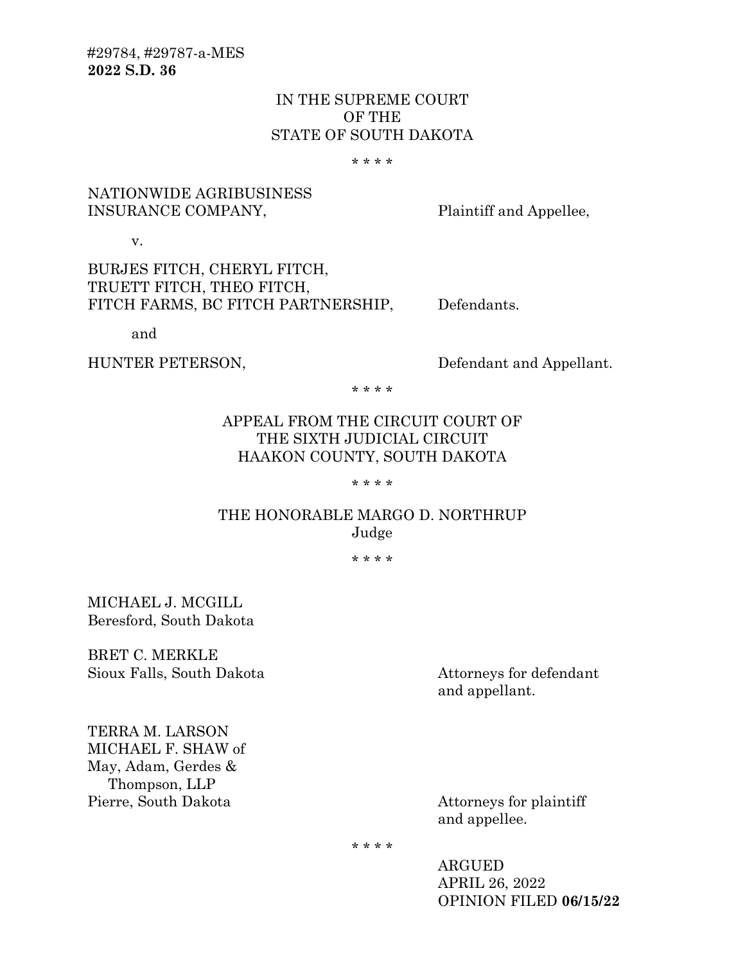# IN THE SUPREME COURT OF THE STATE OF SOUTH DAKOTA

\* \* \* \*

# NATIONWIDE AGRIBUSINESS INSURANCE COMPANY, Plaintiff and Appellee,

v.

# BURJES FITCH, CHERYL FITCH, TRUETT FITCH, THEO FITCH, FITCH FARMS, BC FITCH PARTNERSHIP, Defendants.

and

HUNTER PETERSON, Defendant and Appellant.

\* \* \* \*

# APPEAL FROM THE CIRCUIT COURT OF THE SIXTH JUDICIAL CIRCUIT HAAKON COUNTY, SOUTH DAKOTA

\* \* \* \*

# THE HONORABLE MARGO D. NORTHRUP Judge

\* \* \* \*

MICHAEL J. MCGILL Beresford, South Dakota

BRET C. MERKLE Sioux Falls, South Dakota Attorneys for defendant

and appellant.

TERRA M. LARSON MICHAEL F. SHAW of May, Adam, Gerdes & Thompson, LLP Pierre, South Dakota Attorneys for plaintiff

and appellee.

\* \* \* \*

ARGUED APRIL 26, 2022 OPINION FILED **06/15/22**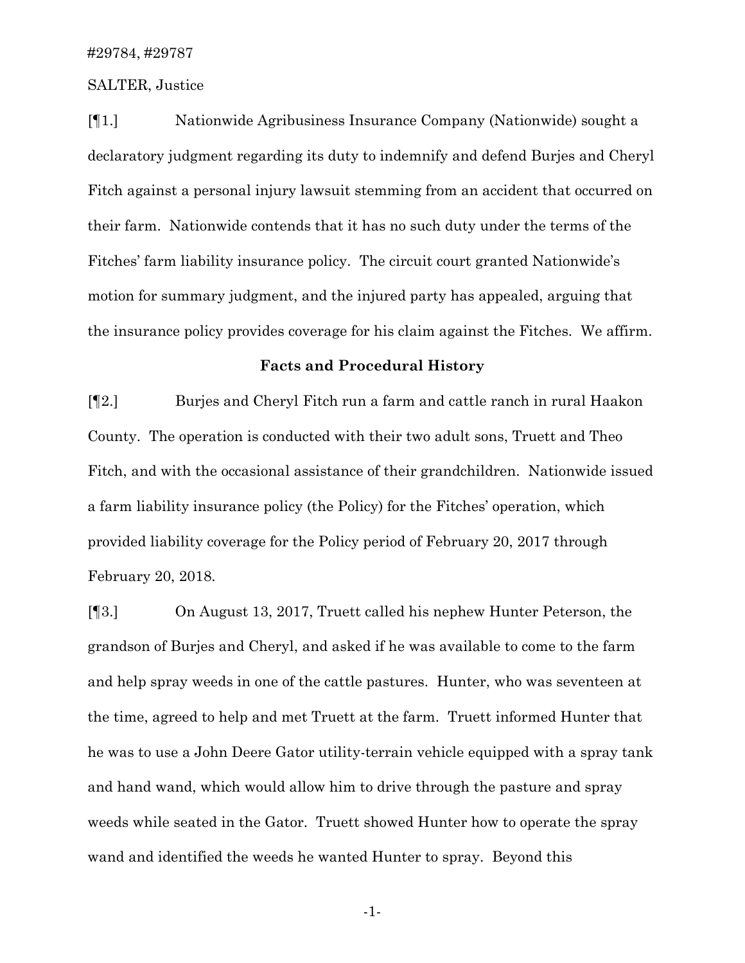#### SALTER, Justice

[¶1.] Nationwide Agribusiness Insurance Company (Nationwide) sought a declaratory judgment regarding its duty to indemnify and defend Burjes and Cheryl Fitch against a personal injury lawsuit stemming from an accident that occurred on their farm. Nationwide contends that it has no such duty under the terms of the Fitches' farm liability insurance policy. The circuit court granted Nationwide's motion for summary judgment, and the injured party has appealed, arguing that the insurance policy provides coverage for his claim against the Fitches. We affirm.

#### **Facts and Procedural History**

[¶2.] Burjes and Cheryl Fitch run a farm and cattle ranch in rural Haakon County. The operation is conducted with their two adult sons, Truett and Theo Fitch, and with the occasional assistance of their grandchildren. Nationwide issued a farm liability insurance policy (the Policy) for the Fitches' operation, which provided liability coverage for the Policy period of February 20, 2017 through February 20, 2018.

[¶3.] On August 13, 2017, Truett called his nephew Hunter Peterson, the grandson of Burjes and Cheryl, and asked if he was available to come to the farm and help spray weeds in one of the cattle pastures. Hunter, who was seventeen at the time, agreed to help and met Truett at the farm. Truett informed Hunter that he was to use a John Deere Gator utility-terrain vehicle equipped with a spray tank and hand wand, which would allow him to drive through the pasture and spray weeds while seated in the Gator. Truett showed Hunter how to operate the spray wand and identified the weeds he wanted Hunter to spray. Beyond this

-1-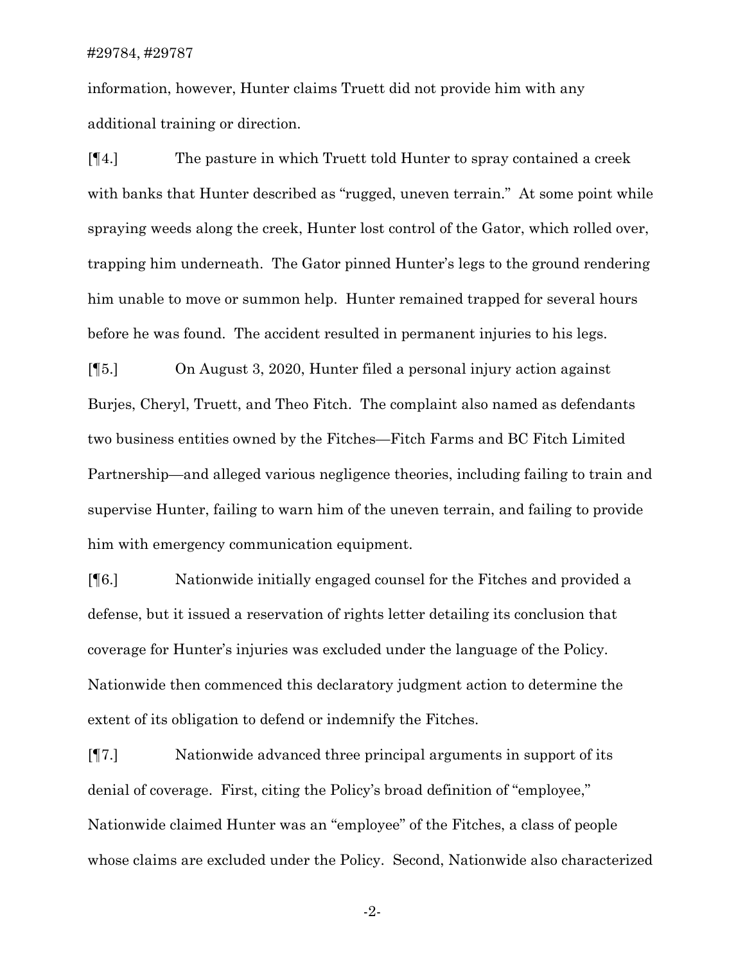information, however, Hunter claims Truett did not provide him with any additional training or direction.

[¶4.] The pasture in which Truett told Hunter to spray contained a creek with banks that Hunter described as "rugged, uneven terrain." At some point while spraying weeds along the creek, Hunter lost control of the Gator, which rolled over, trapping him underneath. The Gator pinned Hunter's legs to the ground rendering him unable to move or summon help. Hunter remained trapped for several hours before he was found. The accident resulted in permanent injuries to his legs.

[¶5.] On August 3, 2020, Hunter filed a personal injury action against Burjes, Cheryl, Truett, and Theo Fitch. The complaint also named as defendants two business entities owned by the Fitches—Fitch Farms and BC Fitch Limited Partnership—and alleged various negligence theories, including failing to train and supervise Hunter, failing to warn him of the uneven terrain, and failing to provide him with emergency communication equipment.

[¶6.] Nationwide initially engaged counsel for the Fitches and provided a defense, but it issued a reservation of rights letter detailing its conclusion that coverage for Hunter's injuries was excluded under the language of the Policy. Nationwide then commenced this declaratory judgment action to determine the extent of its obligation to defend or indemnify the Fitches.

[¶7.] Nationwide advanced three principal arguments in support of its denial of coverage. First, citing the Policy's broad definition of "employee," Nationwide claimed Hunter was an "employee" of the Fitches, a class of people whose claims are excluded under the Policy. Second, Nationwide also characterized

-2-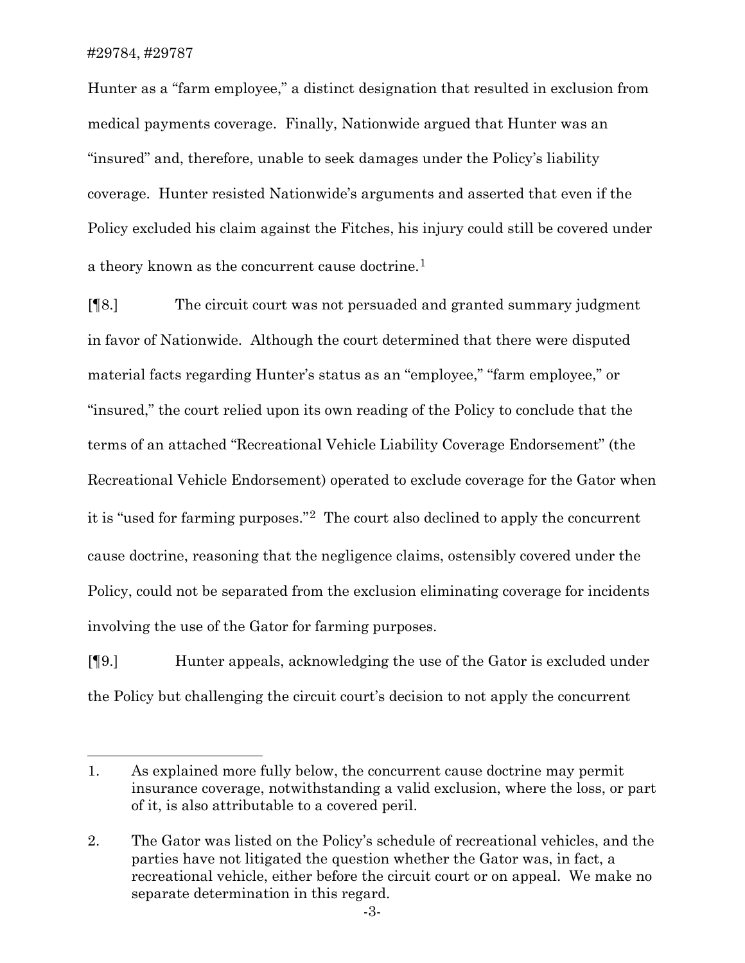Hunter as a "farm employee," a distinct designation that resulted in exclusion from medical payments coverage. Finally, Nationwide argued that Hunter was an "insured" and, therefore, unable to seek damages under the Policy's liability coverage. Hunter resisted Nationwide's arguments and asserted that even if the Policy excluded his claim against the Fitches, his injury could still be covered under a theory known as the concurrent cause doctrine.<sup>[1](#page-3-0)</sup>

[¶8.] The circuit court was not persuaded and granted summary judgment in favor of Nationwide. Although the court determined that there were disputed material facts regarding Hunter's status as an "employee," "farm employee," or "insured," the court relied upon its own reading of the Policy to conclude that the terms of an attached "Recreational Vehicle Liability Coverage Endorsement" (the Recreational Vehicle Endorsement) operated to exclude coverage for the Gator when it is "used for farming purposes."[2](#page-3-1) The court also declined to apply the concurrent cause doctrine, reasoning that the negligence claims, ostensibly covered under the Policy, could not be separated from the exclusion eliminating coverage for incidents involving the use of the Gator for farming purposes.

[¶9.] Hunter appeals, acknowledging the use of the Gator is excluded under the Policy but challenging the circuit court's decision to not apply the concurrent

<span id="page-3-0"></span><sup>1.</sup> As explained more fully below, the concurrent cause doctrine may permit insurance coverage, notwithstanding a valid exclusion, where the loss, or part of it, is also attributable to a covered peril.

<span id="page-3-1"></span><sup>2.</sup> The Gator was listed on the Policy's schedule of recreational vehicles, and the parties have not litigated the question whether the Gator was, in fact, a recreational vehicle, either before the circuit court or on appeal. We make no separate determination in this regard.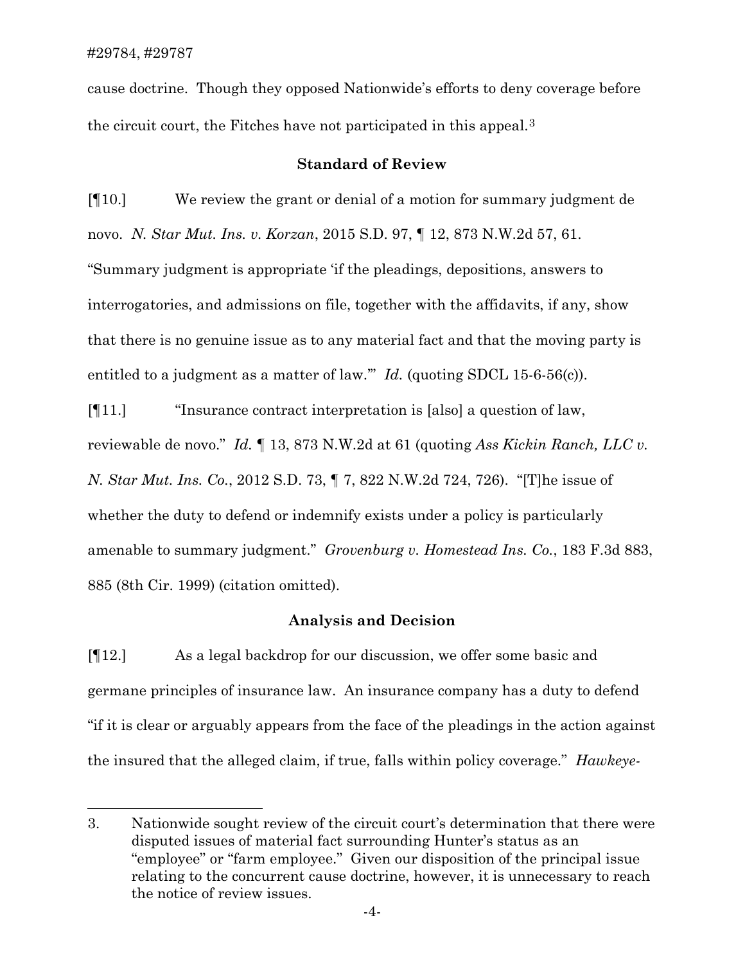cause doctrine. Though they opposed Nationwide's efforts to deny coverage before the circuit court, the Fitches have not participated in this appeal.[3](#page-4-0)

## **Standard of Review**

[¶10.] We review the grant or denial of a motion for summary judgment de novo. *N. Star Mut. Ins. v. Korzan*, 2015 S.D. 97, ¶ 12, 873 N.W.2d 57, 61. "Summary judgment is appropriate 'if the pleadings, depositions, answers to interrogatories, and admissions on file, together with the affidavits, if any, show that there is no genuine issue as to any material fact and that the moving party is entitled to a judgment as a matter of law." *Id.* (quoting SDCL 15-6-56(c)).

[¶11.] "Insurance contract interpretation is [also] a question of law, reviewable de novo." *Id.* ¶ 13, 873 N.W.2d at 61 (quoting *Ass Kickin Ranch, LLC v. N. Star Mut. Ins. Co.*, 2012 S.D. 73, ¶ 7, 822 N.W.2d 724, 726). "[T]he issue of whether the duty to defend or indemnify exists under a policy is particularly amenable to summary judgment." *Grovenburg v. Homestead Ins. Co.*, 183 F.3d 883, 885 (8th Cir. 1999) (citation omitted).

## **Analysis and Decision**

[¶12.] As a legal backdrop for our discussion, we offer some basic and germane principles of insurance law. An insurance company has a duty to defend "if it is clear or arguably appears from the face of the pleadings in the action against the insured that the alleged claim, if true, falls within policy coverage." *Hawkeye-*

<span id="page-4-0"></span><sup>3.</sup> Nationwide sought review of the circuit court's determination that there were disputed issues of material fact surrounding Hunter's status as an "employee" or "farm employee." Given our disposition of the principal issue relating to the concurrent cause doctrine, however, it is unnecessary to reach the notice of review issues.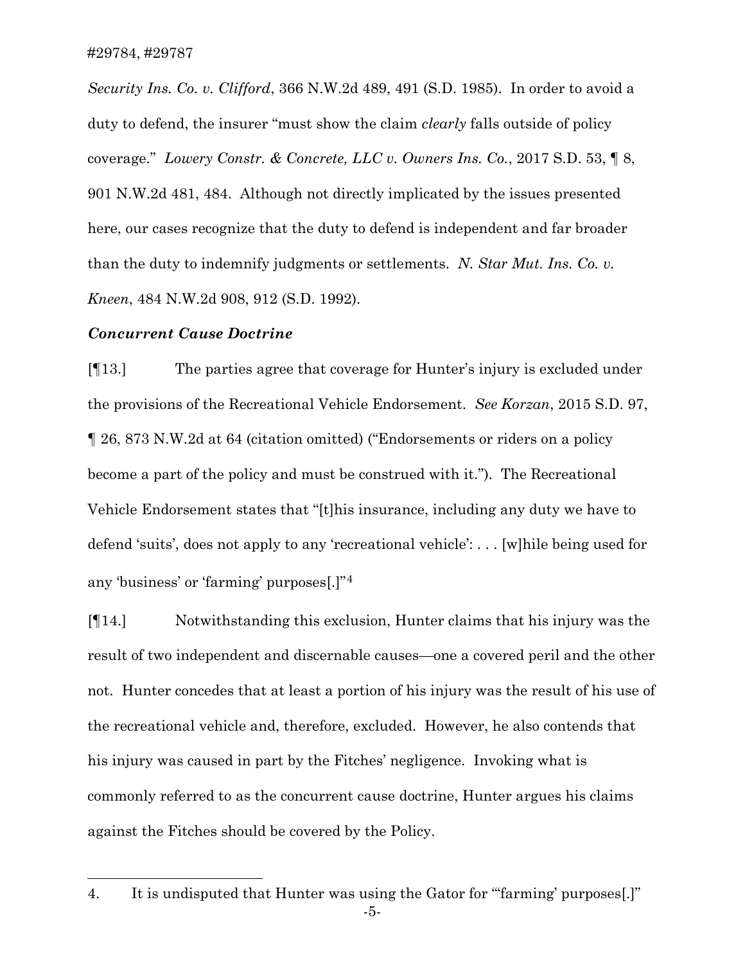*Security Ins. Co. v. Clifford*, 366 N.W.2d 489, 491 (S.D. 1985). In order to avoid a duty to defend, the insurer "must show the claim *clearly* falls outside of policy coverage." *Lowery Constr. & Concrete, LLC v. Owners Ins. Co.*, 2017 S.D. 53, ¶ 8, 901 N.W.2d 481, 484. Although not directly implicated by the issues presented here, our cases recognize that the duty to defend is independent and far broader than the duty to indemnify judgments or settlements. *N. Star Mut. Ins. Co. v. Kneen*, 484 N.W.2d 908, 912 (S.D. 1992).

## *Concurrent Cause Doctrine*

[¶13.] The parties agree that coverage for Hunter's injury is excluded under the provisions of the Recreational Vehicle Endorsement. *See Korzan*, 2015 S.D. 97, ¶ 26, 873 N.W.2d at 64 (citation omitted) ("Endorsements or riders on a policy become a part of the policy and must be construed with it."). The Recreational Vehicle Endorsement states that "[t]his insurance, including any duty we have to defend 'suits', does not apply to any 'recreational vehicle': . . . [w]hile being used for any 'business' or 'farming' purposes[.]"[4](#page-5-0)

[¶14.] Notwithstanding this exclusion, Hunter claims that his injury was the result of two independent and discernable causes—one a covered peril and the other not. Hunter concedes that at least a portion of his injury was the result of his use of the recreational vehicle and, therefore, excluded. However, he also contends that his injury was caused in part by the Fitches' negligence. Invoking what is commonly referred to as the concurrent cause doctrine, Hunter argues his claims against the Fitches should be covered by the Policy.

<span id="page-5-0"></span><sup>4.</sup> It is undisputed that Hunter was using the Gator for "'farming' purposes[.]"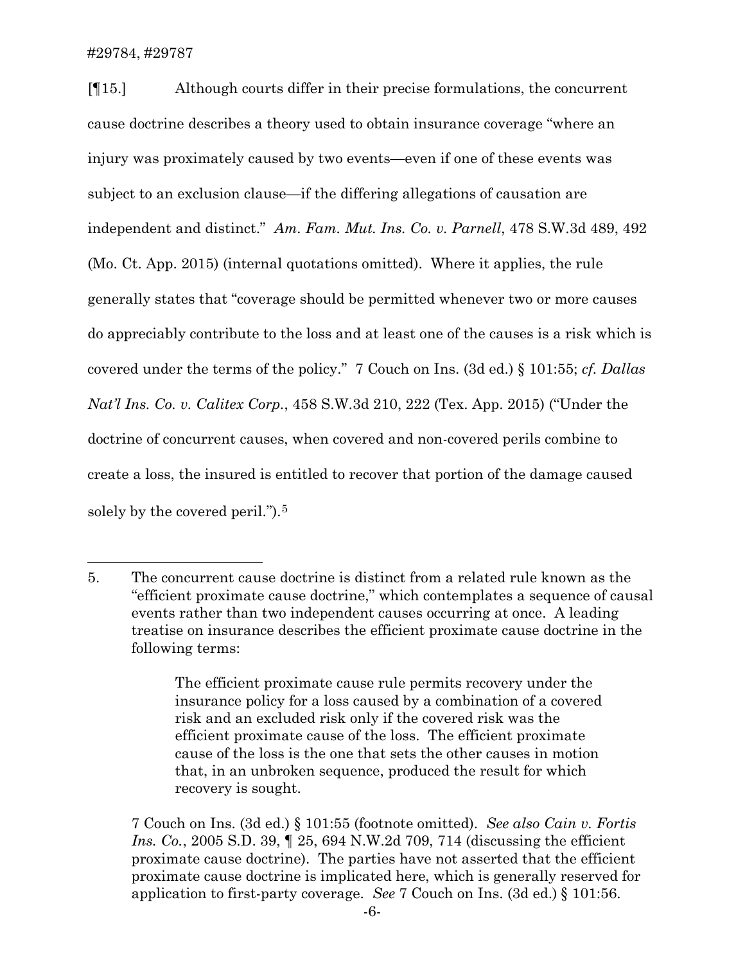### #29784, #29787

[¶15.] Although courts differ in their precise formulations, the concurrent cause doctrine describes a theory used to obtain insurance coverage "where an injury was proximately caused by two events—even if one of these events was subject to an exclusion clause—if the differing allegations of causation are independent and distinct." *Am. Fam. Mut. Ins. Co. v. Parnell*, 478 S.W.3d 489, 492 (Mo. Ct. App. 2015) (internal quotations omitted). Where it applies, the rule generally states that "coverage should be permitted whenever two or more causes do appreciably contribute to the loss and at least one of the causes is a risk which is covered under the terms of the policy." 7 Couch on Ins. (3d ed.) § 101:55; *cf. Dallas Nat'l Ins. Co. v. Calitex Corp.*, 458 S.W.3d 210, 222 (Tex. App. 2015) ("Under the doctrine of concurrent causes, when covered and non-covered perils combine to create a loss, the insured is entitled to recover that portion of the damage caused solely by the covered peril.").<sup>[5](#page-6-0)</sup>

<span id="page-6-0"></span><sup>5.</sup> The concurrent cause doctrine is distinct from a related rule known as the "efficient proximate cause doctrine," which contemplates a sequence of causal events rather than two independent causes occurring at once. A leading treatise on insurance describes the efficient proximate cause doctrine in the following terms:

The efficient proximate cause rule permits recovery under the insurance policy for a loss caused by a combination of a covered risk and an excluded risk only if the covered risk was the efficient proximate cause of the loss. The efficient proximate cause of the loss is the one that sets the other causes in motion that, in an unbroken sequence, produced the result for which recovery is sought.

<sup>7</sup> Couch on Ins. (3d ed.) § 101:55 (footnote omitted). *See also Cain v. Fortis Ins. Co.*, 2005 S.D. 39, ¶ 25, 694 N.W.2d 709, 714 (discussing the efficient proximate cause doctrine). The parties have not asserted that the efficient proximate cause doctrine is implicated here, which is generally reserved for application to first-party coverage. *See* 7 Couch on Ins. (3d ed.) § 101:56.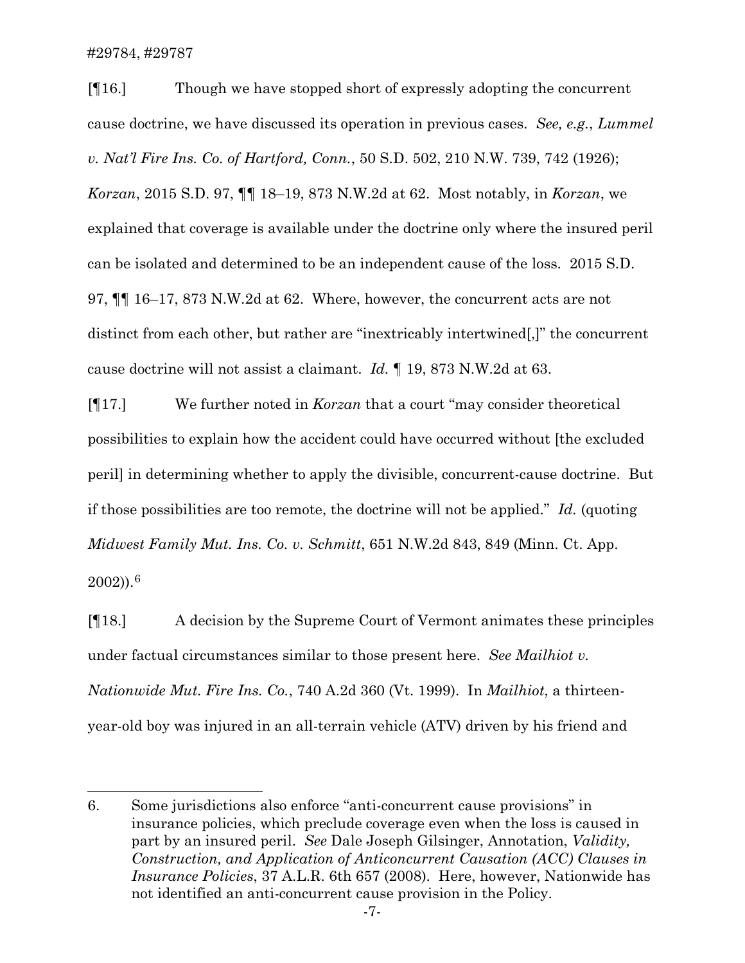#29784, #29787

[¶16.] Though we have stopped short of expressly adopting the concurrent cause doctrine, we have discussed its operation in previous cases. *See, e.g.*, *Lummel v. Nat'l Fire Ins. Co. of Hartford, Conn.*, 50 S.D. 502, 210 N.W. 739, 742 (1926); *Korzan*, 2015 S.D. 97, ¶¶ 18–19, 873 N.W.2d at 62. Most notably, in *Korzan*, we explained that coverage is available under the doctrine only where the insured peril can be isolated and determined to be an independent cause of the loss. 2015 S.D. 97, ¶¶ 16–17, 873 N.W.2d at 62. Where, however, the concurrent acts are not distinct from each other, but rather are "inextricably intertwined[,]" the concurrent cause doctrine will not assist a claimant. *Id.* ¶ 19, 873 N.W.2d at 63.

[¶17.] We further noted in *Korzan* that a court "may consider theoretical possibilities to explain how the accident could have occurred without [the excluded peril] in determining whether to apply the divisible, concurrent-cause doctrine. But if those possibilities are too remote, the doctrine will not be applied." *Id.* (quoting *Midwest Family Mut. Ins. Co. v. Schmitt*, 651 N.W.2d 843, 849 (Minn. Ct. App.

 $(2002)$ ).<sup>[6](#page-7-0)</sup>

[¶18.] A decision by the Supreme Court of Vermont animates these principles under factual circumstances similar to those present here. *See Mailhiot v. Nationwide Mut. Fire Ins. Co.*, 740 A.2d 360 (Vt. 1999). In *Mailhiot*, a thirteenyear-old boy was injured in an all-terrain vehicle (ATV) driven by his friend and

<span id="page-7-0"></span><sup>6.</sup> Some jurisdictions also enforce "anti-concurrent cause provisions" in insurance policies, which preclude coverage even when the loss is caused in part by an insured peril. *See* Dale Joseph Gilsinger, Annotation, *Validity, Construction, and Application of Anticoncurrent Causation (ACC) Clauses in Insurance Policies*, 37 A.L.R. 6th 657 (2008). Here, however, Nationwide has not identified an anti-concurrent cause provision in the Policy.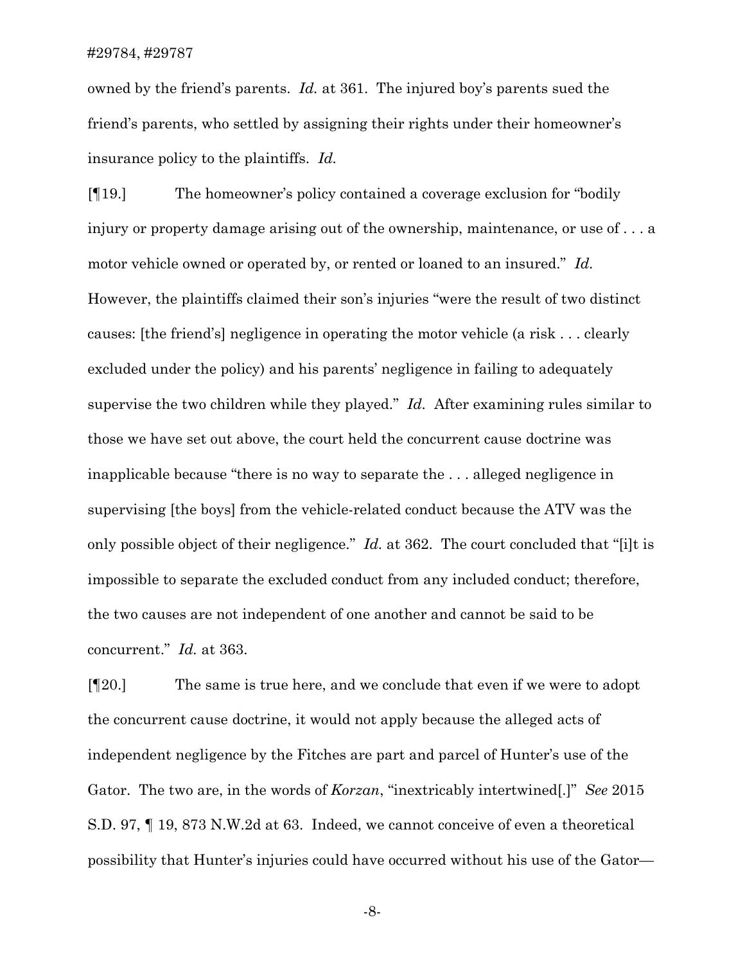### #29784, #29787

owned by the friend's parents. *Id.* at 361. The injured boy's parents sued the friend's parents, who settled by assigning their rights under their homeowner's insurance policy to the plaintiffs. *Id.*

[¶19.] The homeowner's policy contained a coverage exclusion for "bodily injury or property damage arising out of the ownership, maintenance, or use of . . . a motor vehicle owned or operated by, or rented or loaned to an insured." *Id.* However, the plaintiffs claimed their son's injuries "were the result of two distinct causes: [the friend's] negligence in operating the motor vehicle (a risk . . . clearly excluded under the policy) and his parents' negligence in failing to adequately supervise the two children while they played." *Id.* After examining rules similar to those we have set out above, the court held the concurrent cause doctrine was inapplicable because "there is no way to separate the . . . alleged negligence in supervising [the boys] from the vehicle-related conduct because the ATV was the only possible object of their negligence." *Id.* at 362. The court concluded that "[i]t is impossible to separate the excluded conduct from any included conduct; therefore, the two causes are not independent of one another and cannot be said to be concurrent." *Id.* at 363.

[¶20.] The same is true here, and we conclude that even if we were to adopt the concurrent cause doctrine, it would not apply because the alleged acts of independent negligence by the Fitches are part and parcel of Hunter's use of the Gator. The two are, in the words of *Korzan*, "inextricably intertwined[.]" *See* 2015 S.D. 97, ¶ 19, 873 N.W.2d at 63. Indeed, we cannot conceive of even a theoretical possibility that Hunter's injuries could have occurred without his use of the Gator—

-8-